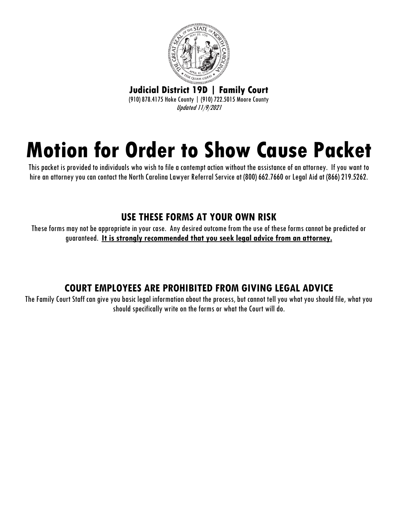

# **Motion for Order to Show Cause Packet**

This packet is provided to individuals who wish to file a contempt action without the assistance of an attorney. If you want to hire an attorney you can contact the North Carolina Lawyer Referral Service at (800) 662.7660 or Legal Aid at (866) 219.5262.

## **USE THESE FORMS AT YOUR OWN RISK**

These forms may not be appropriate in your case. Any desired outcome from the use of these forms cannot be predicted or guaranteed. **It is strongly recommended that you seek legal advice from an attorney.**

# **COURT EMPLOYEES ARE PROHIBITED FROM GIVING LEGAL ADVICE**

The Family Court Staff can give you basic legal information about the process, but cannot tell you what you should file, what you should specifically write on the forms or what the Court will do.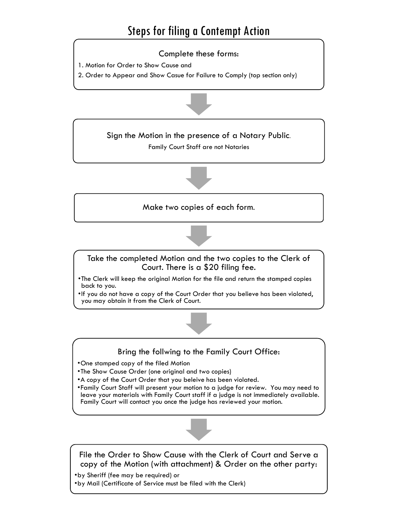# Steps for filing a Contempt Action

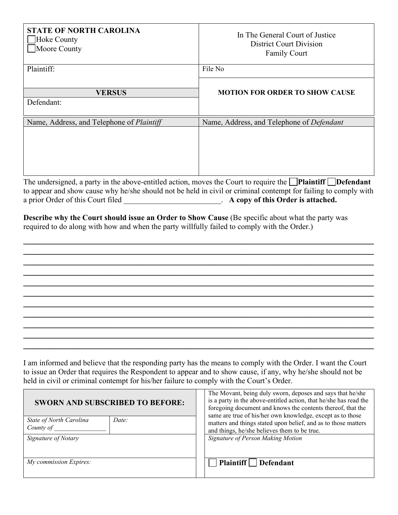| <b>STATE OF NORTH CAROLINA</b><br>Hoke County<br>Moore County                                                                                                                                                                                                                                                                                         | In The General Court of Justice<br><b>District Court Division</b><br><b>Family Court</b> |
|-------------------------------------------------------------------------------------------------------------------------------------------------------------------------------------------------------------------------------------------------------------------------------------------------------------------------------------------------------|------------------------------------------------------------------------------------------|
| Plaintiff:                                                                                                                                                                                                                                                                                                                                            | File No                                                                                  |
|                                                                                                                                                                                                                                                                                                                                                       |                                                                                          |
| <b>VERSUS</b>                                                                                                                                                                                                                                                                                                                                         | <b>MOTION FOR ORDER TO SHOW CAUSE</b>                                                    |
| Defendant:                                                                                                                                                                                                                                                                                                                                            |                                                                                          |
| Name, Address, and Telephone of <i>Plaintiff</i>                                                                                                                                                                                                                                                                                                      | Name, Address, and Telephone of Defendant                                                |
|                                                                                                                                                                                                                                                                                                                                                       |                                                                                          |
| The undersigned, a party in the above-entitled action, moves the Court to require the <b>Plaintiff</b> Defendant<br>$\mathcal{A}$ and the contract of the contract of the contract of the contract of the contract of the contract of the contract of the contract of the contract of the contract of the contract of the contract of the contract of |                                                                                          |

to appear and show cause why he/she should not be held in civil or criminal contempt for failing to comply with a prior Order of this Court filed \_\_\_\_\_\_\_\_\_\_\_\_\_\_\_\_\_\_\_\_\_\_\_\_. **A copy of this Order is attached.** 

**\_\_\_\_\_\_\_\_\_\_\_\_\_\_\_\_\_\_\_\_\_\_\_\_\_\_\_\_\_\_\_\_\_\_\_\_\_\_\_\_\_\_\_\_\_\_\_\_\_\_\_\_\_\_\_\_\_\_\_\_\_\_\_\_\_\_\_\_\_\_\_\_\_\_\_\_\_ \_\_\_\_\_\_\_\_\_\_\_\_\_\_\_\_\_\_\_\_\_\_\_\_\_\_\_\_\_\_\_\_\_\_\_\_\_\_\_\_\_\_\_\_\_\_\_\_\_\_\_\_\_\_\_\_\_\_\_\_\_\_\_\_\_\_\_\_\_\_\_\_\_\_\_\_\_ \_\_\_\_\_\_\_\_\_\_\_\_\_\_\_\_\_\_\_\_\_\_\_\_\_\_\_\_\_\_\_\_\_\_\_\_\_\_\_\_\_\_\_\_\_\_\_\_\_\_\_\_\_\_\_\_\_\_\_\_\_\_\_\_\_\_\_\_\_\_\_\_\_\_\_\_\_ \_\_\_\_\_\_\_\_\_\_\_\_\_\_\_\_\_\_\_\_\_\_\_\_\_\_\_\_\_\_\_\_\_\_\_\_\_\_\_\_\_\_\_\_\_\_\_\_\_\_\_\_\_\_\_\_\_\_\_\_\_\_\_\_\_\_\_\_\_\_\_\_\_\_\_\_\_ \_\_\_\_\_\_\_\_\_\_\_\_\_\_\_\_\_\_\_\_\_\_\_\_\_\_\_\_\_\_\_\_\_\_\_\_\_\_\_\_\_\_\_\_\_\_\_\_\_\_\_\_\_\_\_\_\_\_\_\_\_\_\_\_\_\_\_\_\_\_\_\_\_\_\_\_\_ \_\_\_\_\_\_\_\_\_\_\_\_\_\_\_\_\_\_\_\_\_\_\_\_\_\_\_\_\_\_\_\_\_\_\_\_\_\_\_\_\_\_\_\_\_\_\_\_\_\_\_\_\_\_\_\_\_\_\_\_\_\_\_\_\_\_\_\_\_\_\_\_\_\_\_\_\_ \_\_\_\_\_\_\_\_\_\_\_\_\_\_\_\_\_\_\_\_\_\_\_\_\_\_\_\_\_\_\_\_\_\_\_\_\_\_\_\_\_\_\_\_\_\_\_\_\_\_\_\_\_\_\_\_\_\_\_\_\_\_\_\_\_\_\_\_\_\_\_\_\_\_\_\_\_ \_\_\_\_\_\_\_\_\_\_\_\_\_\_\_\_\_\_\_\_\_\_\_\_\_\_\_\_\_\_\_\_\_\_\_\_\_\_\_\_\_\_\_\_\_\_\_\_\_\_\_\_\_\_\_\_\_\_\_\_\_\_\_\_\_\_\_\_\_\_\_\_\_\_\_\_\_ \_\_\_\_\_\_\_\_\_\_\_\_\_\_\_\_\_\_\_\_\_\_\_\_\_\_\_\_\_\_\_\_\_\_\_\_\_\_\_\_\_\_\_\_\_\_\_\_\_\_\_\_\_\_\_\_\_\_\_\_\_\_\_\_\_\_\_\_\_\_\_\_\_\_\_\_\_ \_\_\_\_\_\_\_\_\_\_\_\_\_\_\_\_\_\_\_\_\_\_\_\_\_\_\_\_\_\_\_\_\_\_\_\_\_\_\_\_\_\_\_\_\_\_\_\_\_\_\_\_\_\_\_\_\_\_\_\_\_\_\_\_\_\_\_\_\_\_\_\_\_\_\_\_\_ \_\_\_\_\_\_\_\_\_\_\_\_\_\_\_\_\_\_\_\_\_\_\_\_\_\_\_\_\_\_\_\_\_\_\_\_\_\_\_\_\_\_\_\_\_\_\_\_\_\_\_\_\_\_\_\_\_\_\_\_\_\_\_\_\_\_\_\_\_\_\_\_\_\_\_\_\_**

**Describe why the Court should issue an Order to Show Cause (Be specific about what the party was** required to do along with how and when the party willfully failed to comply with the Order.)

I am informed and believe that the responding party has the means to comply with the Order. I want the Court to issue an Order that requires the Respondent to appear and to show cause, if any, why he/she should not be held in civil or criminal contempt for his/her failure to comply with the Court's Order.

| <b>SWORN AND SUBSCRIBED TO BEFORE:</b>        |  | The Movant, being duly sworn, deposes and says that he/she<br>is a party in the above-entitled action, that he/she has read the<br>foregoing document and knows the contents thereof, that the<br>same are true of his/her own knowledge, except as to those |
|-----------------------------------------------|--|--------------------------------------------------------------------------------------------------------------------------------------------------------------------------------------------------------------------------------------------------------------|
| State of North Carolina<br>Date:<br>County of |  | matters and things stated upon belief, and as to those matters<br>and things, he/she believes them to be true.                                                                                                                                               |
| Signature of Notary                           |  | Signature of Person Making Motion                                                                                                                                                                                                                            |
| My commission Expires:                        |  | Plaintiff   Defendant                                                                                                                                                                                                                                        |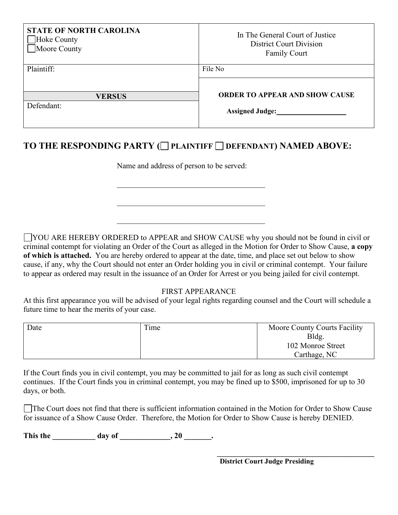| <b>STATE OF NORTH CAROLINA</b><br>Hoke County<br>Moore County | In The General Court of Justice<br><b>District Court Division</b><br><b>Family Court</b> |
|---------------------------------------------------------------|------------------------------------------------------------------------------------------|
| Plaintiff:                                                    | File No                                                                                  |
|                                                               | <b>ORDER TO APPEAR AND SHOW CAUSE</b>                                                    |
| <b>VERSUS</b><br>Defendant:                                   | <b>Assigned Judge:</b>                                                                   |

### **TO THE RESPONDING PARTY ( PLAINTIFF DEFENDANT) NAMED ABOVE:**

\_\_\_\_\_\_\_\_\_\_\_\_\_\_\_\_\_\_\_\_\_\_\_\_\_\_\_\_\_\_\_\_\_\_\_\_\_\_

\_\_\_\_\_\_\_\_\_\_\_\_\_\_\_\_\_\_\_\_\_\_\_\_\_\_\_\_\_\_\_\_\_\_\_\_\_\_

Name and address of person to be served:

YOU ARE HEREBY ORDERED to APPEAR and SHOW CAUSE why you should not be found in civil or criminal contempt for violating an Order of the Court as alleged in the Motion for Order to Show Cause, **a copy of which is attached.** You are hereby ordered to appear at the date, time, and place set out below to show cause, if any, why the Court should not enter an Order holding you in civil or criminal contempt. Your failure to appear as ordered may result in the issuance of an Order for Arrest or you being jailed for civil contempt.

#### FIRST APPEARANCE

At this first appearance you will be advised of your legal rights regarding counsel and the Court will schedule a future time to hear the merits of your case.

| Date | Time | Moore County Courts Facility |
|------|------|------------------------------|
|      |      | Bldg.                        |
|      |      | 102 Monroe Street            |
|      |      | Carthage, NC                 |

If the Court finds you in civil contempt, you may be committed to jail for as long as such civil contempt continues. If the Court finds you in criminal contempt, you may be fined up to \$500, imprisoned for up to 30 days, or both.

The Court does not find that there is sufficient information contained in the Motion for Order to Show Cause for issuance of a Show Cause Order. Therefore, the Motion for Order to Show Cause is hereby DENIED.

This the \_\_\_\_\_\_\_\_\_\_ day of \_\_\_\_\_\_\_\_\_\_, 20 \_\_\_\_\_\_.

**\_\_\_\_\_\_\_\_\_\_\_\_\_\_\_\_\_\_\_\_\_\_\_\_\_\_\_\_\_\_\_\_\_\_\_\_\_\_\_\_\_\_\_\_ District Court Judge Presiding**